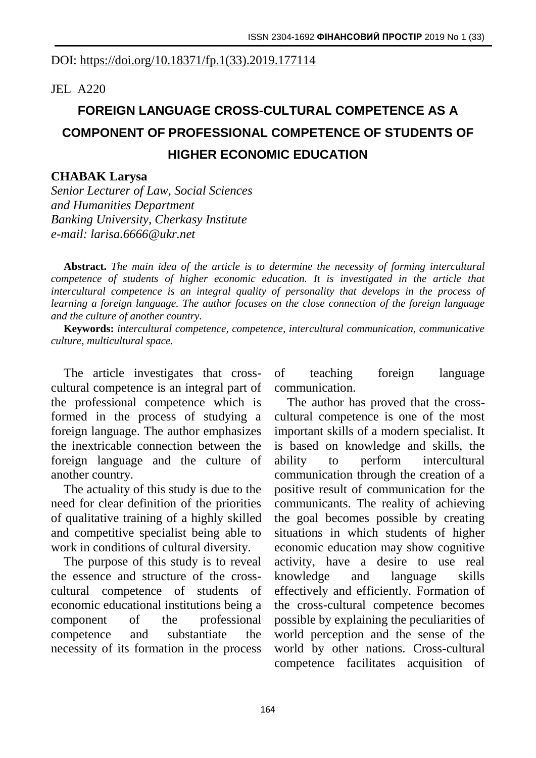## DOI: [https://doi.org/10.18371/fp.1\(33\).2019.177114](https://doi.org/10.18371/fp.1(33).2019.177114)

JEL A220

## **FOREIGN LANGUAGE CROSS-CULTURAL COMPETENCE AS A COMPONENT OF PROFESSIONAL COMPETENCE OF STUDENTS OF HIGHER ECONOMIC EDUCATION**

## **CHABAK Larysa**

*Senior Lecturer of Law, Social Sciences and Humanities Department Banking University, Cherkasy Institute e-mail: [larisa.6666@ukr.net](mailto:larisa.6666@ukr.net)*

**Abstract.** *The main idea of the article is to determine the necessity of forming intercultural competence of students of higher economic education. It is investigated in the article that intercultural competence is an integral quality of personality that develops in the process of learning a foreign language. The author focuses on the close connection of the foreign language and the culture of another country.*

**Keywords:** *intercultural competence, competence, intercultural communication, communicative culture, multicultural space.*

The article investigates that crosscultural competence is an integral part of the professional competence which is formed in the process of studying a foreign language. The author emphasizes the inextricable connection between the foreign language and the culture of another country.

The actuality of this study is due to the need for clear definition of the priorities of qualitative training of a highly skilled and competitive specialist being able to work in conditions of cultural diversity.

The purpose of this study is to reveal the essence and structure of the crosscultural competence of students of economic educational institutions being a component of the professional competence and substantiate the necessity of its formation in the process

of teaching foreign language communication.

The author has proved that the crosscultural competence is one of the most important skills of a modern specialist. It is based on knowledge and skills, the ability to perform intercultural communication through the creation of a positive result of communication for the communicants. The reality of achieving the goal becomes possible by creating situations in which students of higher economic education may show cognitive activity, have a desire to use real knowledge and language skills effectively and efficiently. Formation of the cross-cultural competence becomes possible by explaining the peculiarities of world perception and the sense of the world by other nations. Cross-cultural competence facilitates acquisition of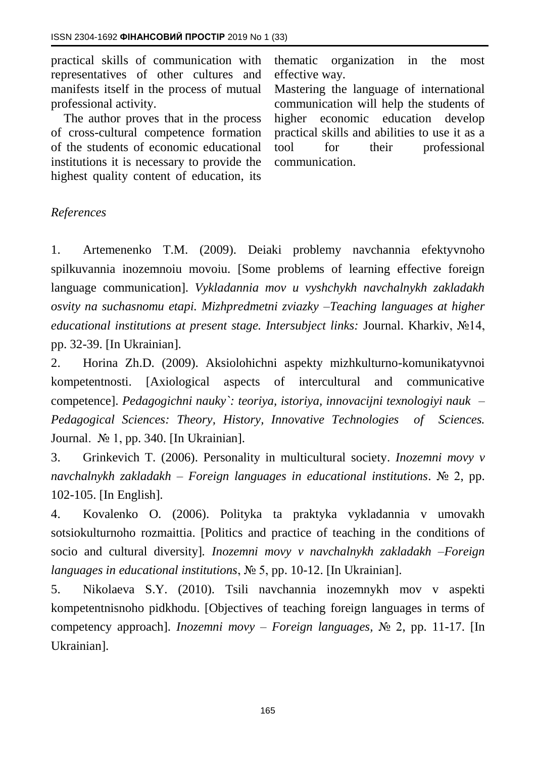practical skills of communication with representatives of other cultures and manifests itself in the process of mutual professional activity.

The author proves that in the process of cross-cultural competence formation of the students of economic educational institutions it is necessary to provide the highest quality content of education, its

thematic organization in the most effective way.

Mastering the language of international communication will help the students of higher economic education develop practical skills and abilities to use it as a tool for their professional communication.

## *References*

1. Artemenenko T.M. (2009). Deiaki problemy navchannia efektyvnoho spilkuvannia inozemnoiu movoiu. [Some problems of learning effective foreign language communication]. *Vykladannia mov u vyshchykh navchalnykh zakladakh osvity na suchasnomu etapi. Mizhpredmetni zviazky –Teaching languages at higher educational institutions at present stage. Intersubject links:* Journal. Kharkiv, №14, pp. 32-39. [In Ukrainian].

2. Horina Zh.D. (2009). Aksiolohichni aspekty mizhkulturno-komunikatyvnoi kompetentnosti. [Axiological aspects of intercultural and communicative competence]. *Pedagogichni nauky`: teoriya, istoriya, innovacijni texnologiyi nauk – Pedagogical Sciences: Theory, History, Innovative Technologies of Sciences.*  Journal. № 1, pp. 340. [In Ukrainian].

3. Grinkevich T. (2006). Personality in multicultural society. *Inozemni movy v navchalnykh zakladakh – Foreign languages in educational institutions*. № 2, pp. 102-105. [In English].

4. Kovalenko O. (2006). Polityka ta praktyka vykladannia v umovakh sotsiokulturnoho rozmaittia. [Politics and practice of teaching in the conditions of socio and cultural diversity]*. Inozemni movy v navchalnykh zakladakh –Foreign languages in educational institutions*, № 5, pp. 10-12. [In Ukrainian].

5. Nikolaeva S.Y. (2010). Tsili navchannia inozemnykh mov v aspekti kompetentnisnoho pidkhodu. [Objectives of teaching foreign languages in terms of competency approach]. *Inozemni movy – Foreign languages,* № 2, pp. 11-17. [In Ukrainian].